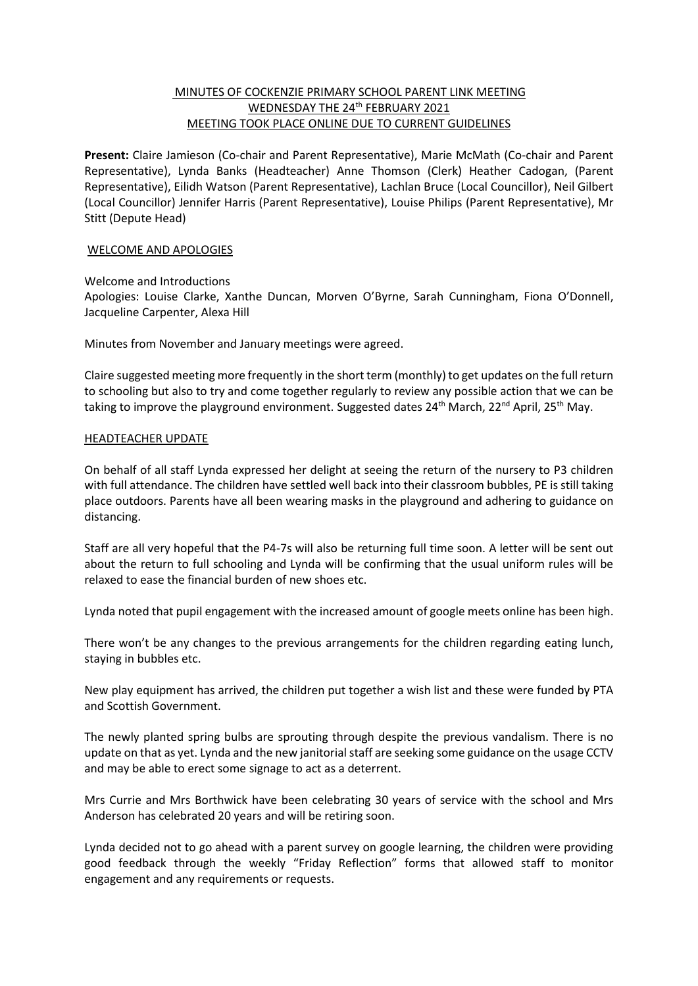# MINUTES OF COCKENZIE PRIMARY SCHOOL PARENT LINK MEETING WEDNESDAY THE 24<sup>th</sup> FEBRUARY 2021 MEETING TOOK PLACE ONLINE DUE TO CURRENT GUIDELINES

**Present:** Claire Jamieson (Co-chair and Parent Representative), Marie McMath (Co-chair and Parent Representative), Lynda Banks (Headteacher) Anne Thomson (Clerk) Heather Cadogan, (Parent Representative), Eilidh Watson (Parent Representative), Lachlan Bruce (Local Councillor), Neil Gilbert (Local Councillor) Jennifer Harris (Parent Representative), Louise Philips (Parent Representative), Mr Stitt (Depute Head)

# WELCOME AND APOLOGIES

Welcome and Introductions Apologies: Louise Clarke, Xanthe Duncan, Morven O'Byrne, Sarah Cunningham, Fiona O'Donnell, Jacqueline Carpenter, Alexa Hill

Minutes from November and January meetings were agreed.

Claire suggested meeting more frequently in the short term (monthly) to get updates on the full return to schooling but also to try and come together regularly to review any possible action that we can be taking to improve the playground environment. Suggested dates 24<sup>th</sup> March, 22<sup>nd</sup> April, 25<sup>th</sup> May.

# HEADTEACHER UPDATE

On behalf of all staff Lynda expressed her delight at seeing the return of the nursery to P3 children with full attendance. The children have settled well back into their classroom bubbles, PE is still taking place outdoors. Parents have all been wearing masks in the playground and adhering to guidance on distancing.

Staff are all very hopeful that the P4-7s will also be returning full time soon. A letter will be sent out about the return to full schooling and Lynda will be confirming that the usual uniform rules will be relaxed to ease the financial burden of new shoes etc.

Lynda noted that pupil engagement with the increased amount of google meets online has been high.

There won't be any changes to the previous arrangements for the children regarding eating lunch, staying in bubbles etc.

New play equipment has arrived, the children put together a wish list and these were funded by PTA and Scottish Government.

The newly planted spring bulbs are sprouting through despite the previous vandalism. There is no update on that as yet. Lynda and the new janitorial staff are seeking some guidance on the usage CCTV and may be able to erect some signage to act as a deterrent.

Mrs Currie and Mrs Borthwick have been celebrating 30 years of service with the school and Mrs Anderson has celebrated 20 years and will be retiring soon.

Lynda decided not to go ahead with a parent survey on google learning, the children were providing good feedback through the weekly "Friday Reflection" forms that allowed staff to monitor engagement and any requirements or requests.